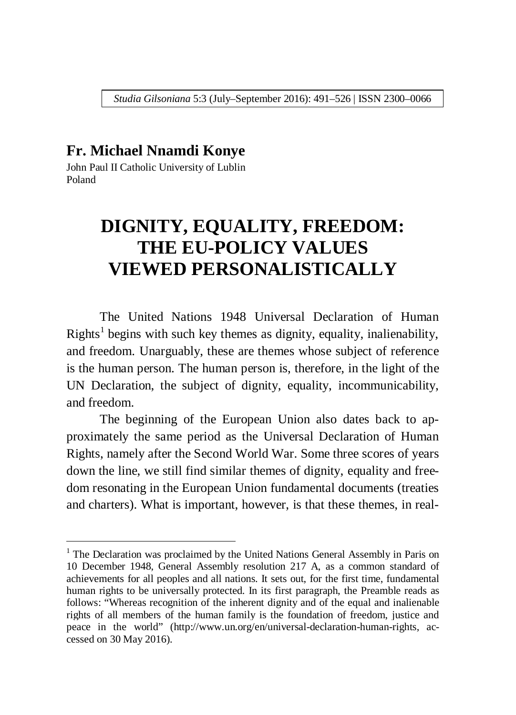*Studia Gilsoniana* 5:3 (July–September 2016): 491–526 | ISSN 2300–0066

## **Fr. Michael Nnamdi Konye**

John Paul II Catholic University of Lublin Poland

<u>.</u>

# **DIGNITY, EQUALITY, FREEDOM: THE EU-POLICY VALUES VIEWED PERSONALISTICALLY**

The United Nations 1948 Universal Declaration of Human Rights<sup>1</sup> begins with such key themes as dignity, equality, inalienability, and freedom. Unarguably, these are themes whose subject of reference is the human person. The human person is, therefore, in the light of the UN Declaration, the subject of dignity, equality, incommunicability, and freedom.

The beginning of the European Union also dates back to approximately the same period as the Universal Declaration of Human Rights, namely after the Second World War. Some three scores of years down the line, we still find similar themes of dignity, equality and freedom resonating in the European Union fundamental documents (treaties and charters). What is important, however, is that these themes, in real-

<sup>&</sup>lt;sup>1</sup> The Declaration was proclaimed by the United Nations General Assembly in Paris on 10 December 1948, General Assembly resolution 217 A, as a common standard of achievements for all peoples and all nations. It sets out, for the first time, fundamental human rights to be universally protected. In its first paragraph, the Preamble reads as follows: "Whereas recognition of the inherent dignity and of the equal and inalienable rights of all members of the human family is the foundation of freedom, justice and peace in the world" (http://www.un.org/en/universal-declaration-human-rights, accessed on 30 May 2016).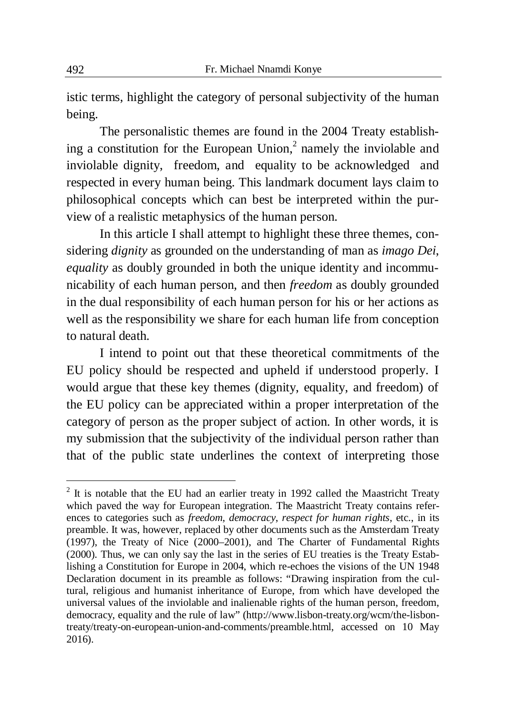istic terms, highlight the category of personal subjectivity of the human being.

The personalistic themes are found in the 2004 Treaty establishing a constitution for the European Union, $2$  namely the inviolable and inviolable dignity, freedom, and equality to be acknowledged and respected in every human being. This landmark document lays claim to philosophical concepts which can best be interpreted within the purview of a realistic metaphysics of the human person.

In this article I shall attempt to highlight these three themes, considering *dignity* as grounded on the understanding of man as *imago Dei*, *equality* as doubly grounded in both the unique identity and incommunicability of each human person, and then *freedom* as doubly grounded in the dual responsibility of each human person for his or her actions as well as the responsibility we share for each human life from conception to natural death.

I intend to point out that these theoretical commitments of the EU policy should be respected and upheld if understood properly. I would argue that these key themes (dignity, equality, and freedom) of the EU policy can be appreciated within a proper interpretation of the category of person as the proper subject of action. In other words, it is my submission that the subjectivity of the individual person rather than that of the public state underlines the context of interpreting those

-

 $2$  It is notable that the EU had an earlier treaty in 1992 called the Maastricht Treaty which paved the way for European integration. The Maastricht Treaty contains references to categories such as *freedom*, *democracy*, *respect for human rights*, etc., in its preamble. It was, however, replaced by other documents such as the Amsterdam Treaty (1997), the Treaty of Nice (2000–2001), and The Charter of Fundamental Rights (2000). Thus, we can only say the last in the series of EU treaties is the Treaty Establishing a Constitution for Europe in 2004, which re-echoes the visions of the UN 1948 Declaration document in its preamble as follows: "Drawing inspiration from the cultural, religious and humanist inheritance of Europe, from which have developed the universal values of the inviolable and inalienable rights of the human person, freedom, democracy, equality and the rule of law" (http://www.lisbon-treaty.org/wcm/the-lisbontreaty/treaty-on-european-union-and-comments/preamble.html, accessed on 10 May 2016).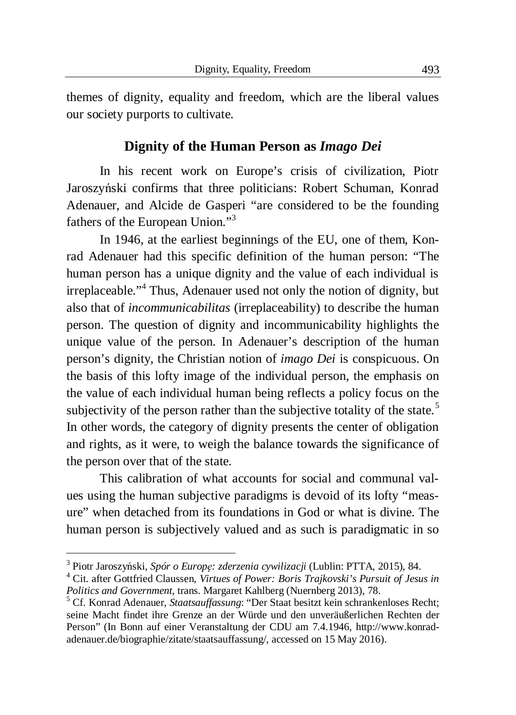themes of dignity, equality and freedom, which are the liberal values our society purports to cultivate.

# **Dignity of the Human Person as** *Imago Dei*

In his recent work on Europe's crisis of civilization, Piotr Jaroszyński confirms that three politicians: Robert Schuman, Konrad Adenauer, and Alcide de Gasperi "are considered to be the founding fathers of the European Union."<sup>3</sup>

In 1946, at the earliest beginnings of the EU, one of them, Konrad Adenauer had this specific definition of the human person: "The human person has a unique dignity and the value of each individual is irreplaceable."<sup>4</sup> Thus, Adenauer used not only the notion of dignity, but also that of *incommunicabilitas* (irreplaceability) to describe the human person. The question of dignity and incommunicability highlights the unique value of the person. In Adenauer's description of the human person's dignity, the Christian notion of *imago Dei* is conspicuous. On the basis of this lofty image of the individual person, the emphasis on the value of each individual human being reflects a policy focus on the subjectivity of the person rather than the subjective totality of the state.<sup>5</sup> In other words, the category of dignity presents the center of obligation and rights, as it were, to weigh the balance towards the significance of the person over that of the state.

This calibration of what accounts for social and communal values using the human subjective paradigms is devoid of its lofty "measure" when detached from its foundations in God or what is divine. The human person is subjectively valued and as such is paradigmatic in so

1

<sup>&</sup>lt;sup>3</sup> Piotr Jaroszyński, Spór o Europę: zderzenia cywilizacji (Lublin: PTTA, 2015), 84.

<sup>4</sup> Cit. after Gottfried Claussen, *Virtues of Power: Boris Trajkovski's Pursuit of Jesus in Politics and Government*, trans. Margaret Kahlberg (Nuernberg 2013), 78.

<sup>5</sup> Cf. Konrad Adenauer, *Staatsauffassung*: "Der Staat besitzt kein schrankenloses Recht; seine Macht findet ihre Grenze an der Würde und den unveräußerlichen Rechten der Person" (In Bonn auf einer Veranstaltung der CDU am 7.4.1946, http://www.konradadenauer.de/biographie/zitate/staatsauffassung/, accessed on 15 May 2016).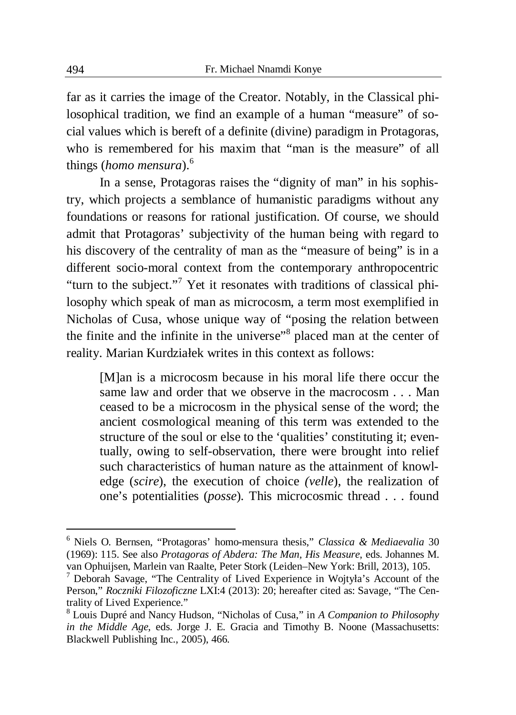far as it carries the image of the Creator. Notably, in the Classical philosophical tradition, we find an example of a human "measure" of social values which is bereft of a definite (divine) paradigm in Protagoras, who is remembered for his maxim that "man is the measure" of all things (*homo mensura*).<sup>6</sup>

In a sense, Protagoras raises the "dignity of man" in his sophistry, which projects a semblance of humanistic paradigms without any foundations or reasons for rational justification. Of course, we should admit that Protagoras' subjectivity of the human being with regard to his discovery of the centrality of man as the "measure of being" is in a different socio-moral context from the contemporary anthropocentric "turn to the subject."<sup>7</sup> Yet it resonates with traditions of classical philosophy which speak of man as microcosm, a term most exemplified in Nicholas of Cusa, whose unique way of "posing the relation between the finite and the infinite in the universe"<sup>8</sup> placed man at the center of reality. Marian Kurdziaáek writes in this context as follows:

[M]an is a microcosm because in his moral life there occur the same law and order that we observe in the macrocosm . . . Man ceased to be a microcosm in the physical sense of the word; the ancient cosmological meaning of this term was extended to the structure of the soul or else to the 'qualities' constituting it; eventually, owing to self-observation, there were brought into relief such characteristics of human nature as the attainment of knowledge (*scire*), the execution of choice *(velle*), the realization of one's potentialities (*posse*). This microcosmic thread . . . found

 6 Niels O. Bernsen, "Protagoras' homo-mensura thesis," *Classica & Mediaevalia* 30 (1969): 115. See also *Protagoras of Abdera: The Man, His Measure*, eds. Johannes M. van Ophuijsen, Marlein van Raalte, Peter Stork (Leiden–New York: Brill, 2013), 105.

<sup>&</sup>lt;sup>7</sup> Deborah Savage, "The Centrality of Lived Experience in Wojtyła's Account of the Person," *Roczniki Filozoficzne* LXI:4 (2013): 20; hereafter cited as: Savage, "The Centrality of Lived Experience."

<sup>8</sup> Louis Dupré and Nancy Hudson, "Nicholas of Cusa," in *A Companion to Philosophy in the Middle Age*, eds. Jorge J. E. Gracia and Timothy B. Noone (Massachusetts: Blackwell Publishing Inc., 2005), 466.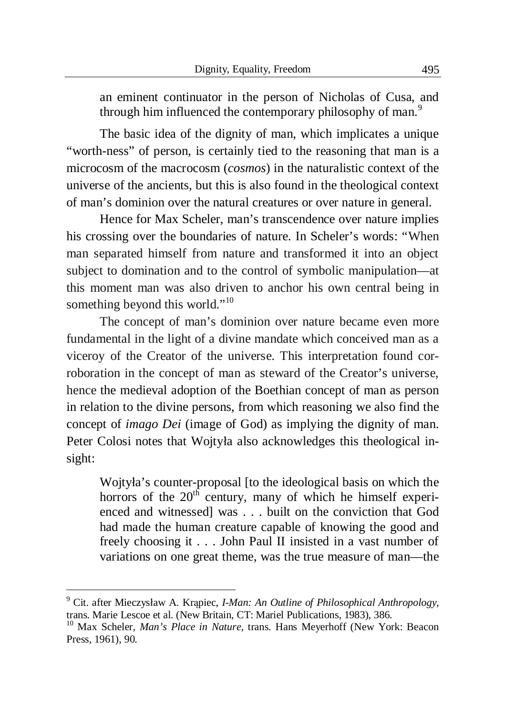an eminent continuator in the person of Nicholas of Cusa, and through him influenced the contemporary philosophy of man.<sup>9</sup>

The basic idea of the dignity of man, which implicates a unique "worth-ness" of person, is certainly tied to the reasoning that man is a microcosm of the macrocosm (*cosmos*) in the naturalistic context of the universe of the ancients, but this is also found in the theological context of man's dominion over the natural creatures or over nature in general.

Hence for Max Scheler, man's transcendence over nature implies his crossing over the boundaries of nature. In Scheler's words: "When man separated himself from nature and transformed it into an object subject to domination and to the control of symbolic manipulation—at this moment man was also driven to anchor his own central being in something beyond this world."<sup>10</sup>

The concept of man's dominion over nature became even more fundamental in the light of a divine mandate which conceived man as a viceroy of the Creator of the universe. This interpretation found corroboration in the concept of man as steward of the Creator's universe, hence the medieval adoption of the Boethian concept of man as person in relation to the divine persons, from which reasoning we also find the concept of *imago Dei* (image of God) as implying the dignity of man. Peter Colosi notes that Wojtyła also acknowledges this theological insight:

Wojtyáa's counter-proposal [to the ideological basis on which the horrors of the  $20<sup>th</sup>$  century, many of which he himself experienced and witnessed] was . . . built on the conviction that God had made the human creature capable of knowing the good and freely choosing it . . . John Paul II insisted in a vast number of variations on one great theme, was the true measure of man—the

 9 Cit. after Mieczysáaw A. Krąpiec, *I-Man: An Outline of Philosophical Anthropology*, trans. Marie Lescoe et al. (New Britain, CT: Mariel Publications, 1983), 386.

<sup>&</sup>lt;sup>10</sup> Max Scheler, *Man's Place in Nature*, trans. Hans Meyerhoff (New York: Beacon Press, 1961), 90.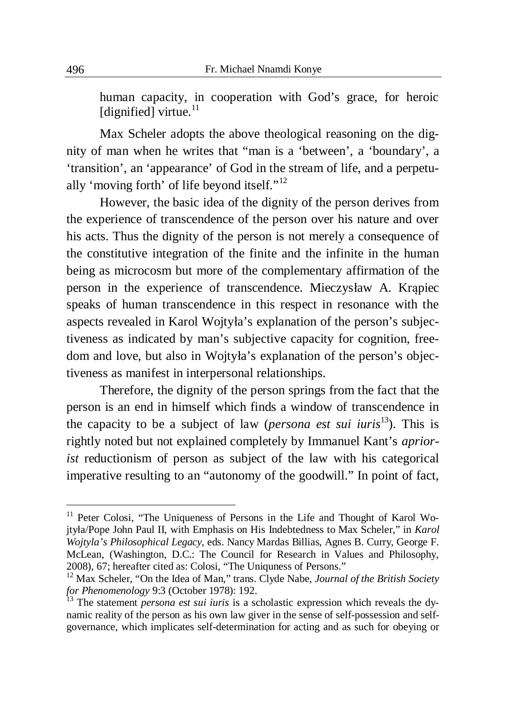human capacity, in cooperation with God's grace, for heroic [dignified] virtue.<sup>11</sup>

Max Scheler adopts the above theological reasoning on the dignity of man when he writes that "man is a 'between', a 'boundary', a 'transition', an 'appearance' of God in the stream of life, and a perpetually 'moving forth' of life beyond itself."<sup>12</sup>

However, the basic idea of the dignity of the person derives from the experience of transcendence of the person over his nature and over his acts. Thus the dignity of the person is not merely a consequence of the constitutive integration of the finite and the infinite in the human being as microcosm but more of the complementary affirmation of the person in the experience of transcendence. Mieczysáaw A. Krąpiec speaks of human transcendence in this respect in resonance with the aspects revealed in Karol Wojtyáa's explanation of the person's subjectiveness as indicated by man's subjective capacity for cognition, freedom and love, but also in Wojtyła's explanation of the person's objectiveness as manifest in interpersonal relationships.

Therefore, the dignity of the person springs from the fact that the person is an end in himself which finds a window of transcendence in the capacity to be a subject of law (*persona est sui iuris*<sup>13</sup>). This is rightly noted but not explained completely by Immanuel Kant's *apriorist* reductionism of person as subject of the law with his categorical imperative resulting to an "autonomy of the goodwill." In point of fact,

1

<sup>&</sup>lt;sup>11</sup> Peter Colosi, "The Uniqueness of Persons in the Life and Thought of Karol Wojtyáa/Pope John Paul II, with Emphasis on His Indebtedness to Max Scheler," in *Karol Wojtyla's Philosophical Legacy*, eds. Nancy Mardas Billias, Agnes B. Curry, George F. McLean, (Washington, D.C.: The Council for Research in Values and Philosophy, 2008), 67; hereafter cited as: Colosi, "The Uniquness of Persons."

<sup>&</sup>lt;sup>12</sup> Max Scheler, "On the Idea of Man," trans. Clyde Nabe, *Journal of the British Society for Phenomenology* 9:3 (October 1978): 192.

<sup>&</sup>lt;sup>13</sup> The statement *persona est sui iuris* is a scholastic expression which reveals the dynamic reality of the person as his own law giver in the sense of self-possession and selfgovernance, which implicates self-determination for acting and as such for obeying or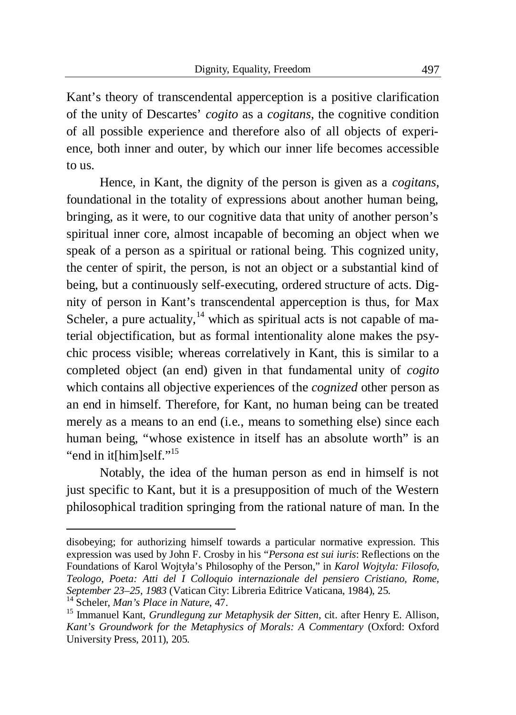Kant's theory of transcendental apperception is a positive clarification of the unity of Descartes' *cogito* as a *cogitans*, the cognitive condition of all possible experience and therefore also of all objects of experience, both inner and outer, by which our inner life becomes accessible to us.

Hence, in Kant, the dignity of the person is given as a *cogitans*, foundational in the totality of expressions about another human being, bringing, as it were, to our cognitive data that unity of another person's spiritual inner core, almost incapable of becoming an object when we speak of a person as a spiritual or rational being. This cognized unity, the center of spirit, the person, is not an object or a substantial kind of being, but a continuously self-executing, ordered structure of acts. Dignity of person in Kant's transcendental apperception is thus, for Max Scheler, a pure actuality,  $14$  which as spiritual acts is not capable of material objectification, but as formal intentionality alone makes the psychic process visible; whereas correlatively in Kant, this is similar to a completed object (an end) given in that fundamental unity of *cogito* which contains all objective experiences of the *cognized* other person as an end in himself. Therefore, for Kant, no human being can be treated merely as a means to an end (i.e., means to something else) since each human being, "whose existence in itself has an absolute worth" is an "end in it[him]self."<sup>15</sup>

Notably, the idea of the human person as end in himself is not just specific to Kant, but it is a presupposition of much of the Western philosophical tradition springing from the rational nature of man. In the

1

disobeying; for authorizing himself towards a particular normative expression. This expression was used by John F. Crosby in his "*Persona est sui iuris*: Reflections on the Foundations of Karol Wojtyáa's Philosophy of the Person," in *Karol Wojtyáa: Filosofo, Teologo, Poeta: Atti del I Colloquio internazionale del pensiero Cristiano, Rome, September 23–25, 1983* (Vatican City: Libreria Editrice Vaticana, 1984), 25.

<sup>14</sup> Scheler, *Man's Place in Nature*, 47.

<sup>15</sup> Immanuel Kant, *Grundlegung zur Metaphysik der Sitten*, cit. after Henry E. Allison, *Kant's Groundwork for the Metaphysics of Morals: A Commentary* (Oxford: Oxford University Press, 2011), 205.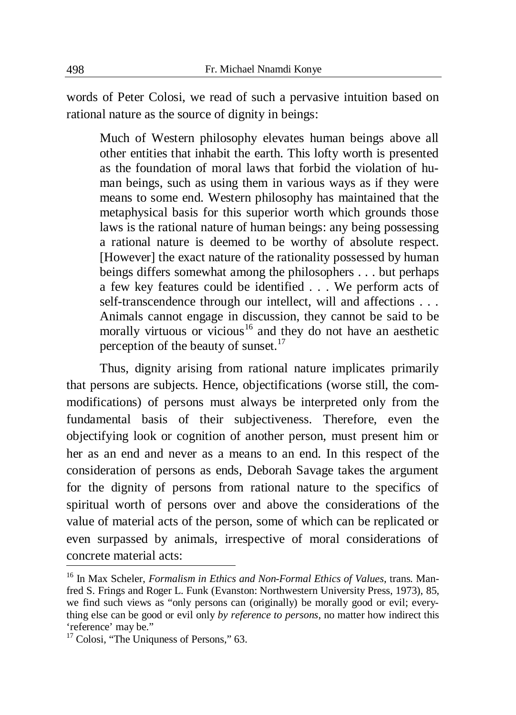words of Peter Colosi, we read of such a pervasive intuition based on rational nature as the source of dignity in beings:

Much of Western philosophy elevates human beings above all other entities that inhabit the earth. This lofty worth is presented as the foundation of moral laws that forbid the violation of human beings, such as using them in various ways as if they were means to some end. Western philosophy has maintained that the metaphysical basis for this superior worth which grounds those laws is the rational nature of human beings: any being possessing a rational nature is deemed to be worthy of absolute respect. [However] the exact nature of the rationality possessed by human beings differs somewhat among the philosophers . . . but perhaps a few key features could be identified . . . We perform acts of self-transcendence through our intellect, will and affections . . . Animals cannot engage in discussion, they cannot be said to be morally virtuous or vicious<sup>16</sup> and they do not have an aesthetic perception of the beauty of sunset. $17$ 

Thus, dignity arising from rational nature implicates primarily that persons are subjects. Hence, objectifications (worse still, the commodifications) of persons must always be interpreted only from the fundamental basis of their subjectiveness. Therefore, even the objectifying look or cognition of another person, must present him or her as an end and never as a means to an end. In this respect of the consideration of persons as ends, Deborah Savage takes the argument for the dignity of persons from rational nature to the specifics of spiritual worth of persons over and above the considerations of the value of material acts of the person, some of which can be replicated or even surpassed by animals, irrespective of moral considerations of concrete material acts:

<sup>16</sup> In Max Scheler, *Formalism in Ethics and Non-Formal Ethics of Values*, trans. Manfred S. Frings and Roger L. Funk (Evanston: Northwestern University Press, 1973), 85, we find such views as "only persons can (originally) be morally good or evil; everything else can be good or evil only *by reference to persons*, no matter how indirect this 'reference' may be."

<sup>&</sup>lt;sup>17</sup> Colosi, "The Uniquness of Persons," 63.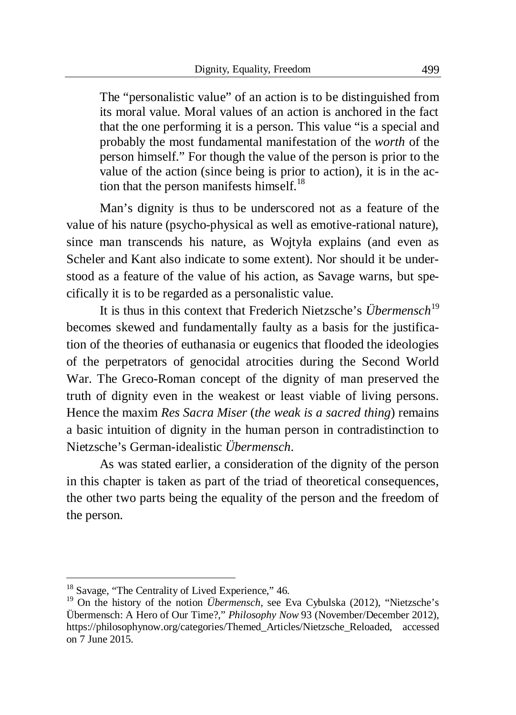The "personalistic value" of an action is to be distinguished from its moral value. Moral values of an action is anchored in the fact that the one performing it is a person. This value "is a special and probably the most fundamental manifestation of the *worth* of the person himself." For though the value of the person is prior to the value of the action (since being is prior to action), it is in the action that the person manifests himself.<sup>18</sup>

Man's dignity is thus to be underscored not as a feature of the value of his nature (psycho-physical as well as emotive-rational nature), since man transcends his nature, as Wojtyła explains (and even as Scheler and Kant also indicate to some extent). Nor should it be understood as a feature of the value of his action, as Savage warns, but specifically it is to be regarded as a personalistic value.

It is thus in this context that Frederich Nietzsche's *Übermensch*<sup>19</sup> becomes skewed and fundamentally faulty as a basis for the justification of the theories of euthanasia or eugenics that flooded the ideologies of the perpetrators of genocidal atrocities during the Second World War. The Greco-Roman concept of the dignity of man preserved the truth of dignity even in the weakest or least viable of living persons. Hence the maxim *Res Sacra Miser* (*the weak is a sacred thing*) remains a basic intuition of dignity in the human person in contradistinction to Nietzsche's German-idealistic *Übermensch*.

As was stated earlier, a consideration of the dignity of the person in this chapter is taken as part of the triad of theoretical consequences, the other two parts being the equality of the person and the freedom of the person.

<sup>&</sup>lt;sup>18</sup> Savage, "The Centrality of Lived Experience," 46.

<sup>&</sup>lt;sup>19</sup> On the history of the notion *Übermensch*, see Eva Cybulska (2012), "Nietzsche's Übermensch: A Hero of Our Time?," *Philosophy Now* 93 (November/December 2012), https://philosophynow.org/categories/Themed\_Articles/Nietzsche\_Reloaded, accessed on 7 June 2015.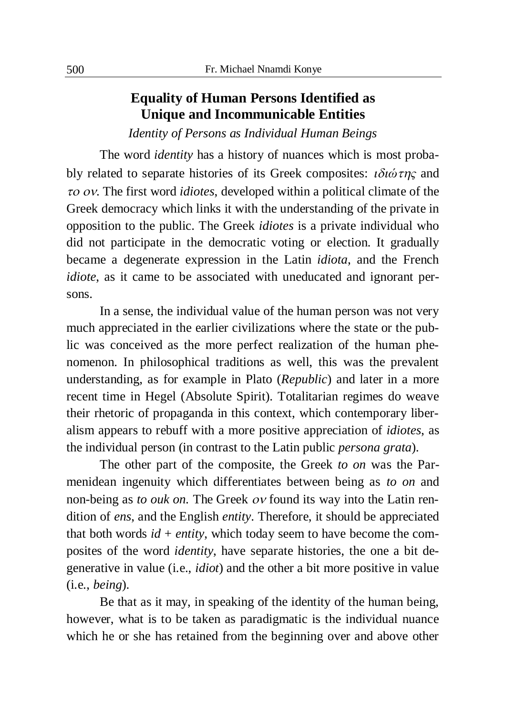# **Equality of Human Persons Identified as Unique and Incommunicable Entities**

*Identity of Persons as Individual Human Beings* 

The word *identity* has a history of nuances which is most probably related to separate histories of its Greek composites:  $i\delta i \dot{\omega} \tau \eta \varsigma$  and  $\tau$ *o ov*. The first word *idiotes*, developed within a political climate of the Greek democracy which links it with the understanding of the private in opposition to the public. The Greek *idiotes* is a private individual who did not participate in the democratic voting or election. It gradually became a degenerate expression in the Latin *idiota*, and the French *idiote*, as it came to be associated with uneducated and ignorant persons.

In a sense, the individual value of the human person was not very much appreciated in the earlier civilizations where the state or the public was conceived as the more perfect realization of the human phenomenon. In philosophical traditions as well, this was the prevalent understanding, as for example in Plato (*Republic*) and later in a more recent time in Hegel (Absolute Spirit). Totalitarian regimes do weave their rhetoric of propaganda in this context, which contemporary liberalism appears to rebuff with a more positive appreciation of *idiotes*, as the individual person (in contrast to the Latin public *persona grata*).

The other part of the composite, the Greek *to on* was the Parmenidean ingenuity which differentiates between being as *to on* and non-being as *to ouk on*. The Greek *ov* found its way into the Latin rendition of *ens*, and the English *entity*. Therefore, it should be appreciated that both words  $id + entity$ , which today seem to have become the composites of the word *identity*, have separate histories, the one a bit degenerative in value (i.e., *idiot*) and the other a bit more positive in value (i.e., *being*).

Be that as it may, in speaking of the identity of the human being, however, what is to be taken as paradigmatic is the individual nuance which he or she has retained from the beginning over and above other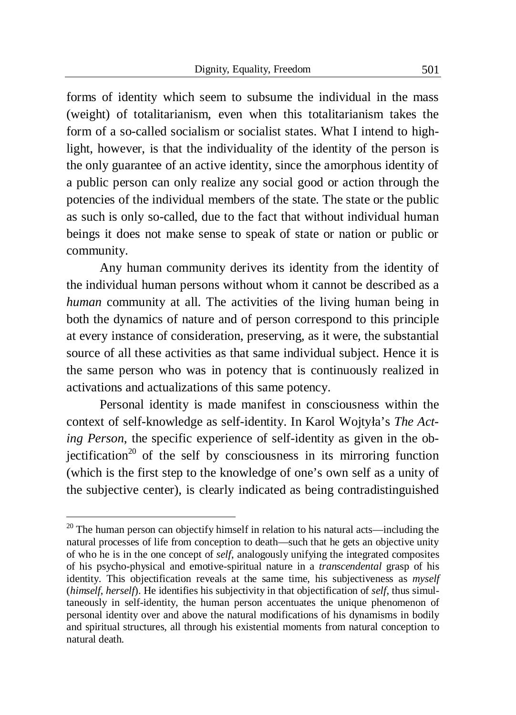forms of identity which seem to subsume the individual in the mass (weight) of totalitarianism, even when this totalitarianism takes the form of a so-called socialism or socialist states. What I intend to highlight, however, is that the individuality of the identity of the person is the only guarantee of an active identity, since the amorphous identity of a public person can only realize any social good or action through the potencies of the individual members of the state. The state or the public as such is only so-called, due to the fact that without individual human beings it does not make sense to speak of state or nation or public or community.

Any human community derives its identity from the identity of the individual human persons without whom it cannot be described as a *human* community at all. The activities of the living human being in both the dynamics of nature and of person correspond to this principle at every instance of consideration, preserving, as it were, the substantial source of all these activities as that same individual subject. Hence it is the same person who was in potency that is continuously realized in activations and actualizations of this same potency.

Personal identity is made manifest in consciousness within the context of self-knowledge as self-identity. In Karol Wojtyáa's *The Acting Person*, the specific experience of self-identity as given in the objectification<sup>20</sup> of the self by consciousness in its mirroring function (which is the first step to the knowledge of one's own self as a unity of the subjective center), is clearly indicated as being contradistinguished

 $20$  The human person can objectify himself in relation to his natural acts—including the natural processes of life from conception to death—such that he gets an objective unity of who he is in the one concept of *self*, analogously unifying the integrated composites of his psycho-physical and emotive-spiritual nature in a *transcendental* grasp of his identity. This objectification reveals at the same time, his subjectiveness as *myself* (*himself*, *herself*). He identifies his subjectivity in that objectification of *self*, thus simultaneously in self-identity, the human person accentuates the unique phenomenon of personal identity over and above the natural modifications of his dynamisms in bodily and spiritual structures, all through his existential moments from natural conception to natural death.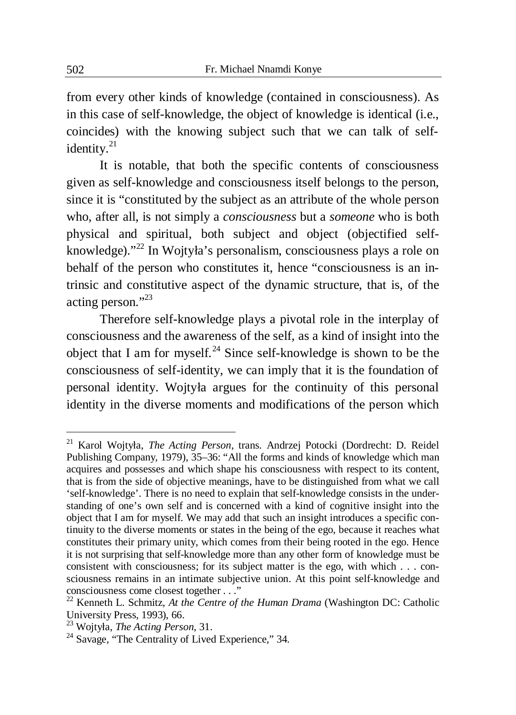from every other kinds of knowledge (contained in consciousness). As in this case of self-knowledge, the object of knowledge is identical (i.e., coincides) with the knowing subject such that we can talk of selfidentity.<sup>21</sup>

It is notable, that both the specific contents of consciousness given as self-knowledge and consciousness itself belongs to the person, since it is "constituted by the subject as an attribute of the whole person who, after all, is not simply a *consciousness* but a *someone* who is both physical and spiritual, both subject and object (objectified selfknowledge)."<sup>22</sup> In Wojtyáa's personalism, consciousness plays a role on behalf of the person who constitutes it, hence "consciousness is an intrinsic and constitutive aspect of the dynamic structure, that is, of the acting person."<sup>23</sup>

Therefore self-knowledge plays a pivotal role in the interplay of consciousness and the awareness of the self, as a kind of insight into the object that I am for myself.<sup>24</sup> Since self-knowledge is shown to be the consciousness of self-identity, we can imply that it is the foundation of personal identity. Wojtyáa argues for the continuity of this personal identity in the diverse moments and modifications of the person which

<sup>21</sup> Karol Wojtyáa, *The Acting Person*, trans. Andrzej Potocki (Dordrecht: D. Reidel Publishing Company, 1979), 35–36: "All the forms and kinds of knowledge which man acquires and possesses and which shape his consciousness with respect to its content, that is from the side of objective meanings, have to be distinguished from what we call 'self-knowledge'. There is no need to explain that self-knowledge consists in the understanding of one's own self and is concerned with a kind of cognitive insight into the object that I am for myself. We may add that such an insight introduces a specific continuity to the diverse moments or states in the being of the ego, because it reaches what constitutes their primary unity, which comes from their being rooted in the ego. Hence it is not surprising that self-knowledge more than any other form of knowledge must be consistent with consciousness; for its subject matter is the ego, with which . . . consciousness remains in an intimate subjective union. At this point self-knowledge and consciousness come closest together . . ."

<sup>22</sup> Kenneth L. Schmitz, *At the Centre of the Human Drama* (Washington DC: Catholic University Press, 1993), 66.

<sup>23</sup> Wojtyáa, *The Acting Person*, 31.

<sup>&</sup>lt;sup>24</sup> Savage, "The Centrality of Lived Experience," 34.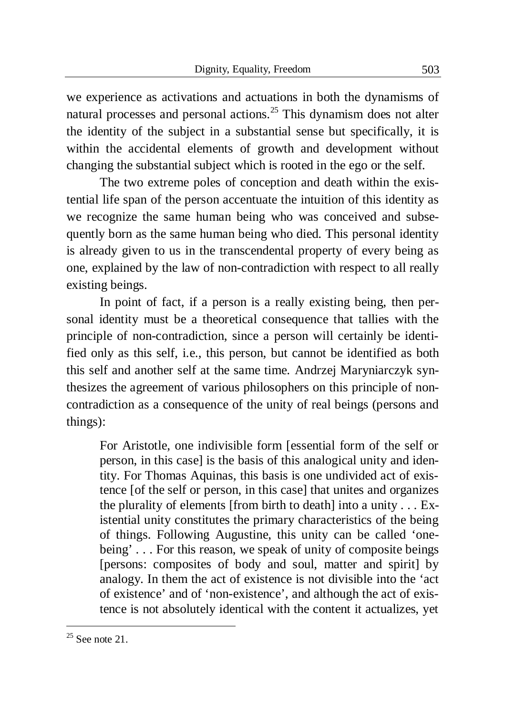we experience as activations and actuations in both the dynamisms of natural processes and personal actions.<sup>25</sup> This dynamism does not alter the identity of the subject in a substantial sense but specifically, it is within the accidental elements of growth and development without changing the substantial subject which is rooted in the ego or the self.

The two extreme poles of conception and death within the existential life span of the person accentuate the intuition of this identity as we recognize the same human being who was conceived and subsequently born as the same human being who died. This personal identity is already given to us in the transcendental property of every being as one, explained by the law of non-contradiction with respect to all really existing beings.

In point of fact, if a person is a really existing being, then personal identity must be a theoretical consequence that tallies with the principle of non-contradiction, since a person will certainly be identified only as this self, i.e., this person, but cannot be identified as both this self and another self at the same time. Andrzej Maryniarczyk synthesizes the agreement of various philosophers on this principle of noncontradiction as a consequence of the unity of real beings (persons and things):

For Aristotle, one indivisible form [essential form of the self or person, in this case] is the basis of this analogical unity and identity. For Thomas Aquinas, this basis is one undivided act of existence [of the self or person, in this case] that unites and organizes the plurality of elements [from birth to death] into a unity . . . Existential unity constitutes the primary characteristics of the being of things. Following Augustine, this unity can be called 'onebeing' . . . For this reason, we speak of unity of composite beings [persons: composites of body and soul, matter and spirit] by analogy. In them the act of existence is not divisible into the 'act of existence' and of 'non-existence', and although the act of existence is not absolutely identical with the content it actualizes, yet

 $25$  See note 21.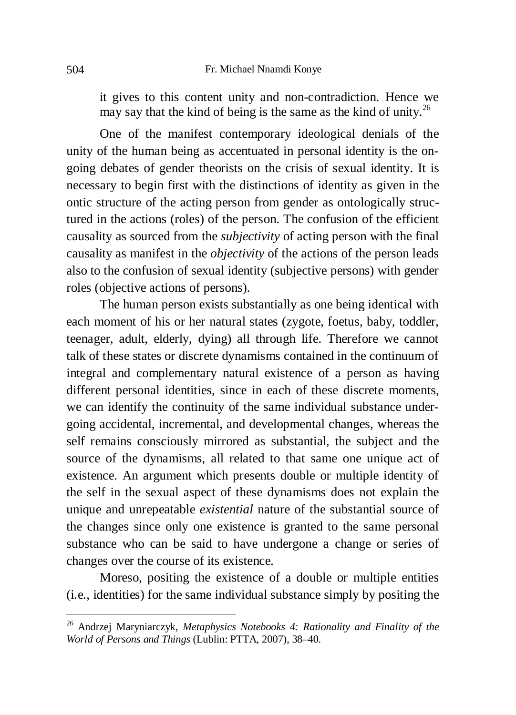it gives to this content unity and non-contradiction. Hence we may say that the kind of being is the same as the kind of unity.<sup>26</sup>

One of the manifest contemporary ideological denials of the unity of the human being as accentuated in personal identity is the ongoing debates of gender theorists on the crisis of sexual identity. It is necessary to begin first with the distinctions of identity as given in the ontic structure of the acting person from gender as ontologically structured in the actions (roles) of the person. The confusion of the efficient causality as sourced from the *subjectivity* of acting person with the final causality as manifest in the *objectivity* of the actions of the person leads also to the confusion of sexual identity (subjective persons) with gender roles (objective actions of persons).

The human person exists substantially as one being identical with each moment of his or her natural states (zygote, foetus, baby, toddler, teenager, adult, elderly, dying) all through life. Therefore we cannot talk of these states or discrete dynamisms contained in the continuum of integral and complementary natural existence of a person as having different personal identities, since in each of these discrete moments, we can identify the continuity of the same individual substance undergoing accidental, incremental, and developmental changes, whereas the self remains consciously mirrored as substantial, the subject and the source of the dynamisms, all related to that same one unique act of existence. An argument which presents double or multiple identity of the self in the sexual aspect of these dynamisms does not explain the unique and unrepeatable *existential* nature of the substantial source of the changes since only one existence is granted to the same personal substance who can be said to have undergone a change or series of changes over the course of its existence.

Moreso, positing the existence of a double or multiple entities (i.e., identities) for the same individual substance simply by positing the

<sup>26</sup> Andrzej Maryniarczyk, *Metaphysics Notebooks 4: Rationality and Finality of the World of Persons and Things* (Lublin: PTTA, 2007), 38–40.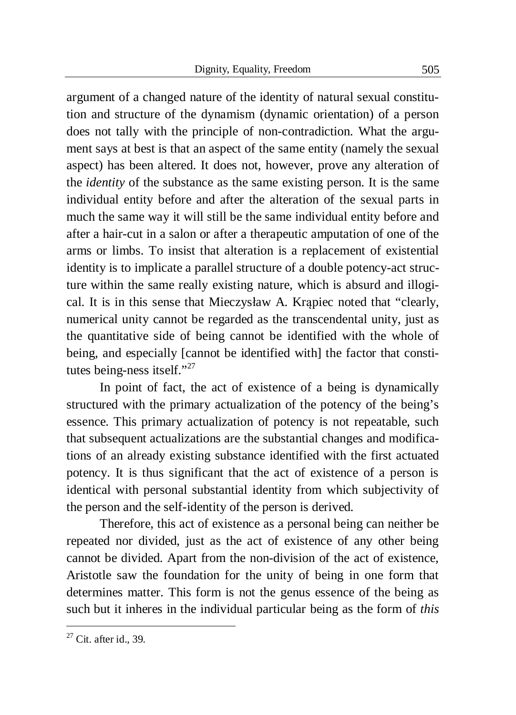argument of a changed nature of the identity of natural sexual constitution and structure of the dynamism (dynamic orientation) of a person does not tally with the principle of non-contradiction. What the argument says at best is that an aspect of the same entity (namely the sexual aspect) has been altered. It does not, however, prove any alteration of the *identity* of the substance as the same existing person. It is the same individual entity before and after the alteration of the sexual parts in much the same way it will still be the same individual entity before and after a hair-cut in a salon or after a therapeutic amputation of one of the arms or limbs. To insist that alteration is a replacement of existential identity is to implicate a parallel structure of a double potency-act structure within the same really existing nature, which is absurd and illogical. It is in this sense that Mieczysáaw A. Krąpiec noted that "clearly, numerical unity cannot be regarded as the transcendental unity, just as the quantitative side of being cannot be identified with the whole of being, and especially [cannot be identified with] the factor that constitutes being-ness itself."<sup>27</sup>

In point of fact, the act of existence of a being is dynamically structured with the primary actualization of the potency of the being's essence. This primary actualization of potency is not repeatable, such that subsequent actualizations are the substantial changes and modifications of an already existing substance identified with the first actuated potency. It is thus significant that the act of existence of a person is identical with personal substantial identity from which subjectivity of the person and the self-identity of the person is derived.

Therefore, this act of existence as a personal being can neither be repeated nor divided, just as the act of existence of any other being cannot be divided. Apart from the non-division of the act of existence, Aristotle saw the foundation for the unity of being in one form that determines matter. This form is not the genus essence of the being as such but it inheres in the individual particular being as the form of *this* 

 $27$  Cit. after id., 39.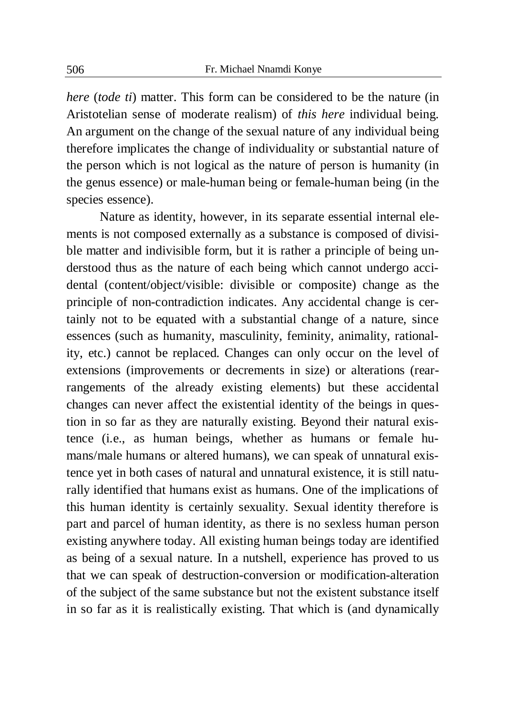*here* (*tode ti*) matter. This form can be considered to be the nature (in Aristotelian sense of moderate realism) of *this here* individual being. An argument on the change of the sexual nature of any individual being therefore implicates the change of individuality or substantial nature of the person which is not logical as the nature of person is humanity (in the genus essence) or male-human being or female-human being (in the species essence).

Nature as identity, however, in its separate essential internal elements is not composed externally as a substance is composed of divisible matter and indivisible form, but it is rather a principle of being understood thus as the nature of each being which cannot undergo accidental (content/object/visible: divisible or composite) change as the principle of non-contradiction indicates. Any accidental change is certainly not to be equated with a substantial change of a nature, since essences (such as humanity, masculinity, feminity, animality, rationality, etc.) cannot be replaced. Changes can only occur on the level of extensions (improvements or decrements in size) or alterations (rearrangements of the already existing elements) but these accidental changes can never affect the existential identity of the beings in question in so far as they are naturally existing. Beyond their natural existence (i.e., as human beings, whether as humans or female humans/male humans or altered humans), we can speak of unnatural existence yet in both cases of natural and unnatural existence, it is still naturally identified that humans exist as humans. One of the implications of this human identity is certainly sexuality. Sexual identity therefore is part and parcel of human identity, as there is no sexless human person existing anywhere today. All existing human beings today are identified as being of a sexual nature. In a nutshell, experience has proved to us that we can speak of destruction-conversion or modification-alteration of the subject of the same substance but not the existent substance itself in so far as it is realistically existing. That which is (and dynamically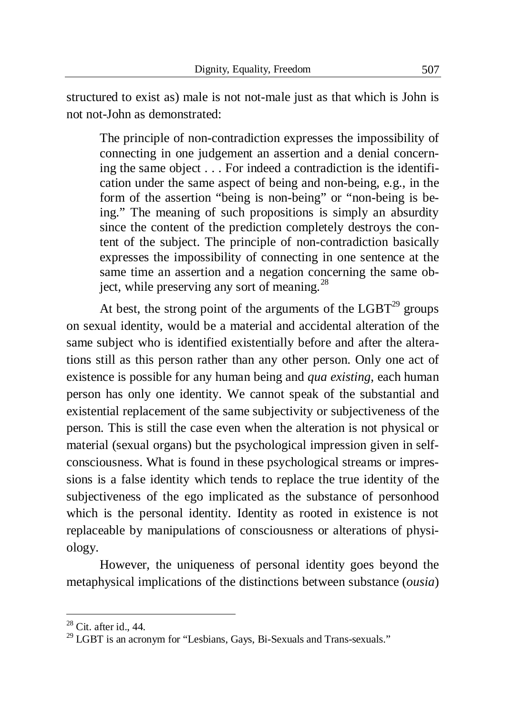structured to exist as) male is not not-male just as that which is John is not not-John as demonstrated:

The principle of non-contradiction expresses the impossibility of connecting in one judgement an assertion and a denial concerning the same object . . . For indeed a contradiction is the identification under the same aspect of being and non-being, e.g., in the form of the assertion "being is non-being" or "non-being is being." The meaning of such propositions is simply an absurdity since the content of the prediction completely destroys the content of the subject. The principle of non-contradiction basically expresses the impossibility of connecting in one sentence at the same time an assertion and a negation concerning the same object, while preserving any sort of meaning.<sup>28</sup>

At best, the strong point of the arguments of the  $LGBT<sup>29</sup>$  groups on sexual identity, would be a material and accidental alteration of the same subject who is identified existentially before and after the alterations still as this person rather than any other person. Only one act of existence is possible for any human being and *qua existing*, each human person has only one identity. We cannot speak of the substantial and existential replacement of the same subjectivity or subjectiveness of the person. This is still the case even when the alteration is not physical or material (sexual organs) but the psychological impression given in selfconsciousness. What is found in these psychological streams or impressions is a false identity which tends to replace the true identity of the subjectiveness of the ego implicated as the substance of personhood which is the personal identity. Identity as rooted in existence is not replaceable by manipulations of consciousness or alterations of physiology.

However, the uniqueness of personal identity goes beyond the metaphysical implications of the distinctions between substance (*ousia*)

 $28$  Cit. after id., 44.

 $29$  LGBT is an acronym for "Lesbians, Gays, Bi-Sexuals and Trans-sexuals."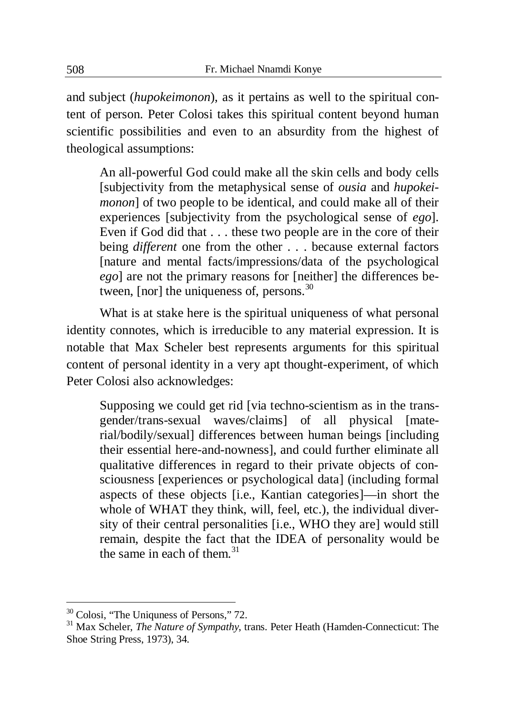and subject (*hupokeimonon*), as it pertains as well to the spiritual content of person. Peter Colosi takes this spiritual content beyond human scientific possibilities and even to an absurdity from the highest of theological assumptions:

An all-powerful God could make all the skin cells and body cells [subjectivity from the metaphysical sense of *ousia* and *hupokeimonon*] of two people to be identical, and could make all of their experiences [subjectivity from the psychological sense of *ego*]. Even if God did that . . . these two people are in the core of their being *different* one from the other . . . because external factors [nature and mental facts/impressions/data of the psychological *ego*] are not the primary reasons for [neither] the differences between, [nor] the uniqueness of, persons.<sup>30</sup>

What is at stake here is the spiritual uniqueness of what personal identity connotes, which is irreducible to any material expression. It is notable that Max Scheler best represents arguments for this spiritual content of personal identity in a very apt thought-experiment, of which Peter Colosi also acknowledges:

Supposing we could get rid [via techno-scientism as in the transgender/trans-sexual waves/claims] of all physical [material/bodily/sexual] differences between human beings [including their essential here-and-nowness], and could further eliminate all qualitative differences in regard to their private objects of consciousness [experiences or psychological data] (including formal aspects of these objects [i.e., Kantian categories]—in short the whole of WHAT they think, will, feel, etc.), the individual diversity of their central personalities [i.e., WHO they are] would still remain, despite the fact that the IDEA of personality would be the same in each of them. $31$ 

<sup>&</sup>lt;sup>30</sup> Colosi, "The Uniquness of Persons," 72.

<sup>31</sup> Max Scheler, *The Nature of Sympathy*, trans. Peter Heath (Hamden-Connecticut: The Shoe String Press, 1973), 34.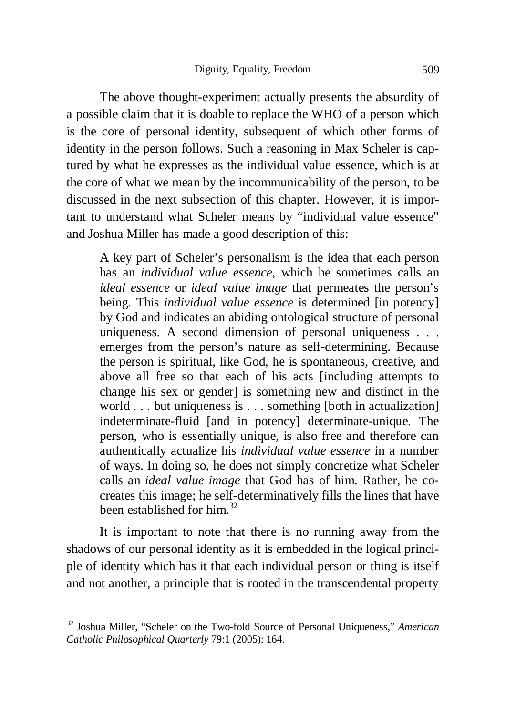The above thought-experiment actually presents the absurdity of a possible claim that it is doable to replace the WHO of a person which is the core of personal identity, subsequent of which other forms of identity in the person follows. Such a reasoning in Max Scheler is captured by what he expresses as the individual value essence, which is at the core of what we mean by the incommunicability of the person, to be discussed in the next subsection of this chapter. However, it is important to understand what Scheler means by "individual value essence" and Joshua Miller has made a good description of this:

A key part of Scheler's personalism is the idea that each person has an *individual value essence*, which he sometimes calls an *ideal essence* or *ideal value image* that permeates the person's being. This *individual value essence* is determined [in potency] by God and indicates an abiding ontological structure of personal uniqueness. A second dimension of personal uniqueness . . . emerges from the person's nature as self-determining. Because the person is spiritual, like God, he is spontaneous, creative, and above all free so that each of his acts [including attempts to change his sex or gender] is something new and distinct in the world . . . but uniqueness is . . . something [both in actualization] indeterminate-fluid [and in potency] determinate-unique. The person, who is essentially unique, is also free and therefore can authentically actualize his *individual value essence* in a number of ways. In doing so, he does not simply concretize what Scheler calls an *ideal value image* that God has of him. Rather, he cocreates this image; he self-determinatively fills the lines that have been established for him  $32$ 

It is important to note that there is no running away from the shadows of our personal identity as it is embedded in the logical principle of identity which has it that each individual person or thing is itself and not another, a principle that is rooted in the transcendental property

<sup>32</sup> Joshua Miller, "Scheler on the Two-fold Source of Personal Uniqueness," *American Catholic Philosophical Quarterly* 79:1 (2005): 164.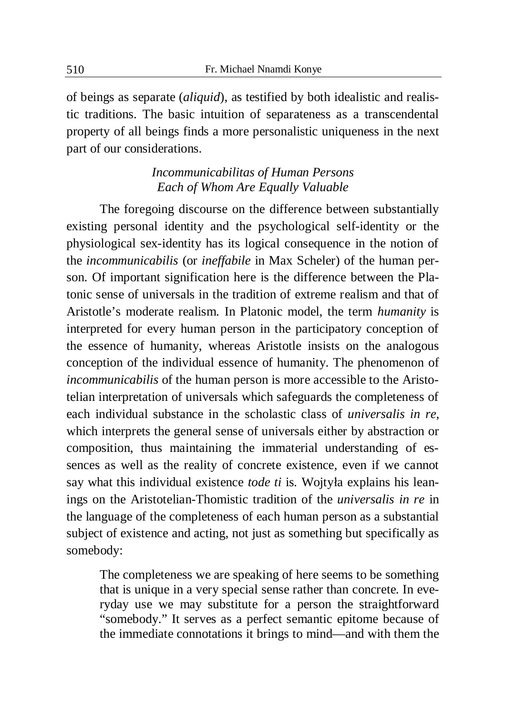of beings as separate (*aliquid*), as testified by both idealistic and realistic traditions. The basic intuition of separateness as a transcendental property of all beings finds a more personalistic uniqueness in the next part of our considerations.

### *Incommunicabilitas of Human Persons Each of Whom Are Equally Valuable*

The foregoing discourse on the difference between substantially existing personal identity and the psychological self-identity or the physiological sex-identity has its logical consequence in the notion of the *incommunicabilis* (or *ineffabile* in Max Scheler) of the human person. Of important signification here is the difference between the Platonic sense of universals in the tradition of extreme realism and that of Aristotle's moderate realism. In Platonic model, the term *humanity* is interpreted for every human person in the participatory conception of the essence of humanity, whereas Aristotle insists on the analogous conception of the individual essence of humanity. The phenomenon of *incommunicabilis* of the human person is more accessible to the Aristotelian interpretation of universals which safeguards the completeness of each individual substance in the scholastic class of *universalis in re*, which interprets the general sense of universals either by abstraction or composition, thus maintaining the immaterial understanding of essences as well as the reality of concrete existence, even if we cannot say what this individual existence *tode ti* is*.* Wojtyáa explains his leanings on the Aristotelian-Thomistic tradition of the *universalis in re* in the language of the completeness of each human person as a substantial subject of existence and acting, not just as something but specifically as somebody:

The completeness we are speaking of here seems to be something that is unique in a very special sense rather than concrete. In everyday use we may substitute for a person the straightforward "somebody." It serves as a perfect semantic epitome because of the immediate connotations it brings to mind—and with them the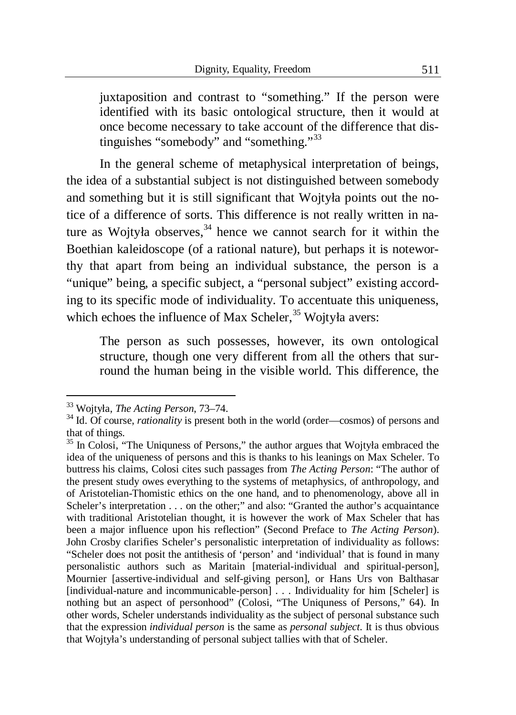juxtaposition and contrast to "something." If the person were identified with its basic ontological structure, then it would at once become necessary to take account of the difference that distinguishes "somebody" and "something."<sup>33</sup>

In the general scheme of metaphysical interpretation of beings, the idea of a substantial subject is not distinguished between somebody and something but it is still significant that Wojtyáa points out the notice of a difference of sorts. This difference is not really written in nature as Wojtyła observes, $34$  hence we cannot search for it within the Boethian kaleidoscope (of a rational nature), but perhaps it is noteworthy that apart from being an individual substance, the person is a "unique" being, a specific subject, a "personal subject" existing according to its specific mode of individuality. To accentuate this uniqueness, which echoes the influence of Max Scheler,  $35$  Wojtyła avers:

The person as such possesses, however, its own ontological structure, though one very different from all the others that surround the human being in the visible world. This difference, the

<sup>33</sup> Wojtyáa, *The Acting Person*, 73–74.

<sup>&</sup>lt;sup>34</sup> Id. Of course, *rationality* is present both in the world (order—cosmos) of persons and that of things.

<sup>&</sup>lt;sup>35</sup> In Colosi, "The Uniquness of Persons," the author argues that Wojtyła embraced the idea of the uniqueness of persons and this is thanks to his leanings on Max Scheler. To buttress his claims, Colosi cites such passages from *The Acting Person*: "The author of the present study owes everything to the systems of metaphysics, of anthropology, and of Aristotelian-Thomistic ethics on the one hand, and to phenomenology, above all in Scheler's interpretation . . . on the other;" and also: "Granted the author's acquaintance with traditional Aristotelian thought, it is however the work of Max Scheler that has been a major influence upon his reflection" (Second Preface to *The Acting Person*). John Crosby clarifies Scheler's personalistic interpretation of individuality as follows: "Scheler does not posit the antithesis of 'person' and 'individual' that is found in many personalistic authors such as Maritain [material-individual and spiritual-person], Mournier [assertive-individual and self-giving person], or Hans Urs von Balthasar [individual-nature and incommunicable-person] . . . Individuality for him [Scheler] is nothing but an aspect of personhood" (Colosi, "The Uniquness of Persons," 64). In other words, Scheler understands individuality as the subject of personal substance such that the expression *individual person* is the same as *personal subject*. It is thus obvious that Wojtyáa's understanding of personal subject tallies with that of Scheler.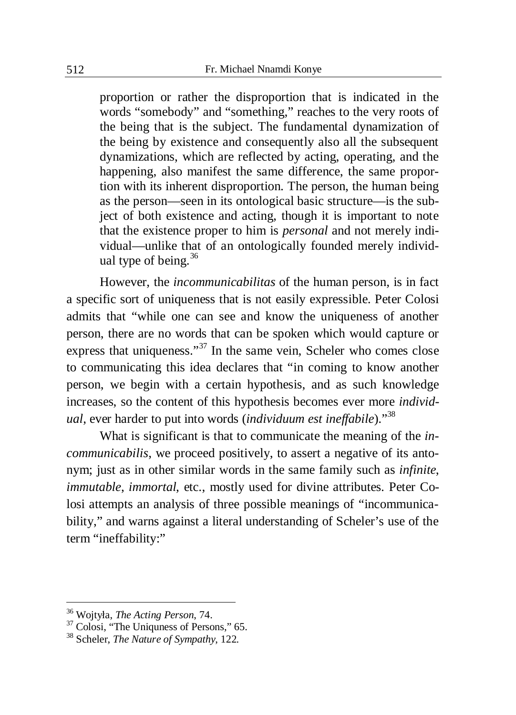proportion or rather the disproportion that is indicated in the words "somebody" and "something," reaches to the very roots of the being that is the subject. The fundamental dynamization of the being by existence and consequently also all the subsequent dynamizations, which are reflected by acting, operating, and the happening, also manifest the same difference, the same proportion with its inherent disproportion. The person, the human being as the person—seen in its ontological basic structure—is the subject of both existence and acting, though it is important to note that the existence proper to him is *personal* and not merely individual—unlike that of an ontologically founded merely individual type of being. $36$ 

However, the *incommunicabilitas* of the human person, is in fact a specific sort of uniqueness that is not easily expressible. Peter Colosi admits that "while one can see and know the uniqueness of another person, there are no words that can be spoken which would capture or express that uniqueness."<sup>37</sup> In the same vein, Scheler who comes close to communicating this idea declares that "in coming to know another person, we begin with a certain hypothesis, and as such knowledge increases, so the content of this hypothesis becomes ever more *individual*, ever harder to put into words (*individuum est ineffabile*)."<sup>38</sup>

What is significant is that to communicate the meaning of the *incommunicabilis*, we proceed positively, to assert a negative of its antonym; just as in other similar words in the same family such as *infinite*, *immutable*, *immortal*, etc., mostly used for divine attributes. Peter Colosi attempts an analysis of three possible meanings of "incommunicability," and warns against a literal understanding of Scheler's use of the term "ineffability:"

<sup>36</sup> Wojtyáa, *The Acting Person*, 74.

<sup>&</sup>lt;sup>37</sup> Colosi, "The Uniquness of Persons," 65.

<sup>38</sup> Scheler, *The Nature of Sympathy*, 122.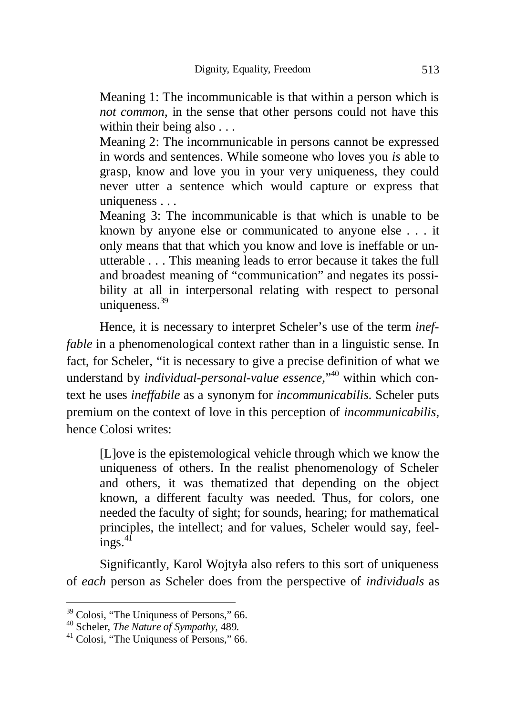Meaning 1: The incommunicable is that within a person which is *not common*, in the sense that other persons could not have this within their being also . . .

Meaning 2: The incommunicable in persons cannot be expressed in words and sentences. While someone who loves you *is* able to grasp, know and love you in your very uniqueness, they could never utter a sentence which would capture or express that uniqueness . . .

Meaning 3: The incommunicable is that which is unable to be known by anyone else or communicated to anyone else . . . it only means that that which you know and love is ineffable or unutterable . . . This meaning leads to error because it takes the full and broadest meaning of "communication" and negates its possibility at all in interpersonal relating with respect to personal uniqueness. $39$ 

Hence, it is necessary to interpret Scheler's use of the term *ineffable* in a phenomenological context rather than in a linguistic sense. In fact, for Scheler, "it is necessary to give a precise definition of what we understand by *individual-personal-value essence*,"<sup>40</sup> within which context he uses *ineffabile* as a synonym for *incommunicabilis*. Scheler puts premium on the context of love in this perception of *incommunicabilis*, hence Colosi writes:

[L]ove is the epistemological vehicle through which we know the uniqueness of others. In the realist phenomenology of Scheler and others, it was thematized that depending on the object known, a different faculty was needed. Thus, for colors, one needed the faculty of sight; for sounds, hearing; for mathematical principles, the intellect; and for values, Scheler would say, feel $ings.<sup>41</sup>$ 

Significantly, Karol Wojtyáa also refers to this sort of uniqueness of *each* person as Scheler does from the perspective of *individuals* as

<sup>&</sup>lt;sup>39</sup> Colosi, "The Uniquness of Persons," 66.

<sup>40</sup> Scheler, *The Nature of Sympathy*, 489.

<sup>&</sup>lt;sup>41</sup> Colosi, "The Uniquess of Persons," 66.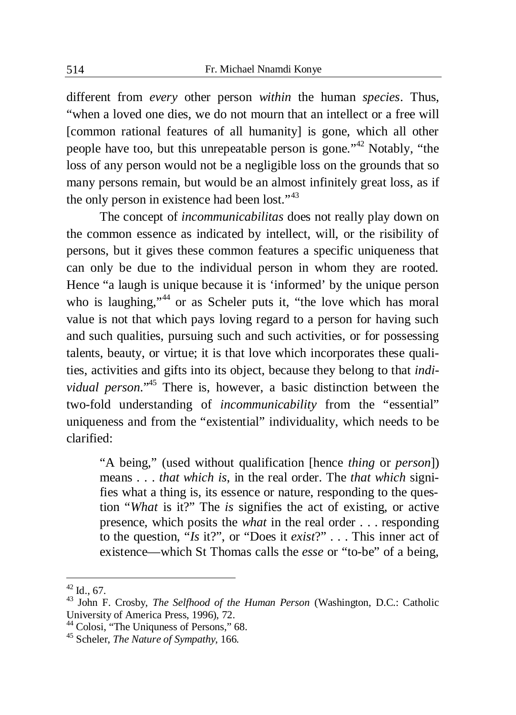different from *every* other person *within* the human *species*. Thus, "when a loved one dies, we do not mourn that an intellect or a free will [common rational features of all humanity] is gone, which all other people have too, but this unrepeatable person is gone."<sup>42</sup> Notably, "the loss of any person would not be a negligible loss on the grounds that so many persons remain, but would be an almost infinitely great loss, as if the only person in existence had been lost."<sup>43</sup>

The concept of *incommunicabilitas* does not really play down on the common essence as indicated by intellect, will, or the risibility of persons, but it gives these common features a specific uniqueness that can only be due to the individual person in whom they are rooted. Hence "a laugh is unique because it is 'informed' by the unique person who is laughing,"<sup>44</sup> or as Scheler puts it, "the love which has moral value is not that which pays loving regard to a person for having such and such qualities, pursuing such and such activities, or for possessing talents, beauty, or virtue; it is that love which incorporates these qualities, activities and gifts into its object, because they belong to that *individual person*."<sup>45</sup> There is, however, a basic distinction between the two-fold understanding of *incommunicability* from the "essential" uniqueness and from the "existential" individuality, which needs to be clarified:

"A being," (used without qualification [hence *thing* or *person*]) means . . . *that which is*, in the real order. The *that which* signifies what a thing is, its essence or nature, responding to the question "*What* is it?" The *is* signifies the act of existing, or active presence, which posits the *what* in the real order . . . responding to the question, "*Is* it?", or "Does it *exist*?" . . . This inner act of existence—which St Thomas calls the *esse* or "to-be" of a being,

 $42$  Id., 67.

<sup>43</sup> John F. Crosby, *The Selfhood of the Human Person* (Washington, D.C.: Catholic University of America Press, 1996), 72.

<sup>&</sup>lt;sup>44</sup> Colosi, "The Uniquness of Persons," 68.

<sup>45</sup> Scheler, *The Nature of Sympathy*, 166.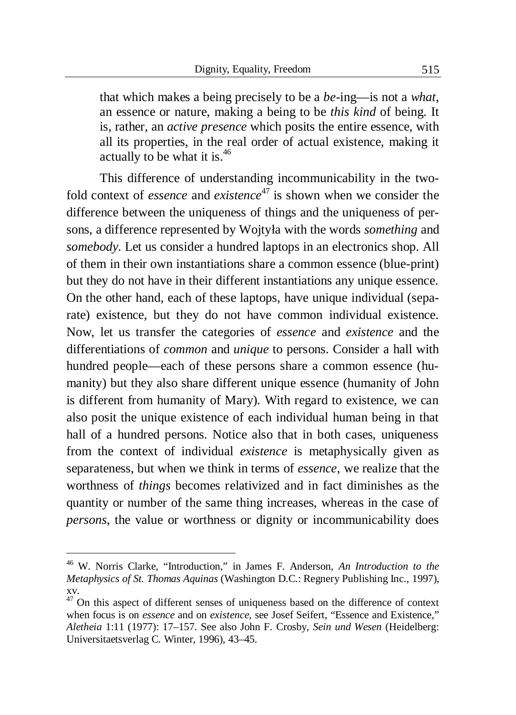that which makes a being precisely to be a *be-*ing—is not a *what*, an essence or nature, making a being to be *this kind* of being. It is, rather, an *active presence* which posits the entire essence, with all its properties, in the real order of actual existence, making it actually to be what it is. $46$ 

This difference of understanding incommunicability in the twofold context of *essence* and *existence*<sup>47</sup> is shown when we consider the difference between the uniqueness of things and the uniqueness of persons, a difference represented by Wojtyáa with the words *something* and *somebody*. Let us consider a hundred laptops in an electronics shop. All of them in their own instantiations share a common essence (blue-print) but they do not have in their different instantiations any unique essence. On the other hand, each of these laptops, have unique individual (separate) existence, but they do not have common individual existence. Now, let us transfer the categories of *essence* and *existence* and the differentiations of *common* and *unique* to persons. Consider a hall with hundred people—each of these persons share a common essence (humanity) but they also share different unique essence (humanity of John is different from humanity of Mary). With regard to existence, we can also posit the unique existence of each individual human being in that hall of a hundred persons. Notice also that in both cases, uniqueness from the context of individual *existence* is metaphysically given as separateness, but when we think in terms of *essence*, we realize that the worthness of *things* becomes relativized and in fact diminishes as the quantity or number of the same thing increases, whereas in the case of *persons*, the value or worthness or dignity or incommunicability does

1

<sup>46</sup> W. Norris Clarke, "Introduction," in James F. Anderson, *An Introduction to the Metaphysics of St. Thomas Aquinas* (Washington D.C.: Regnery Publishing Inc., 1997), xv.

 $47$  On this aspect of different senses of uniqueness based on the difference of context when focus is on *essence* and on *existence*, see Josef Seifert, "Essence and Existence," *Aletheia* 1:11 (1977): 17–157. See also John F. Crosby, *Sein und Wesen* (Heidelberg: Universitaetsverlag C. Winter, 1996), 43–45.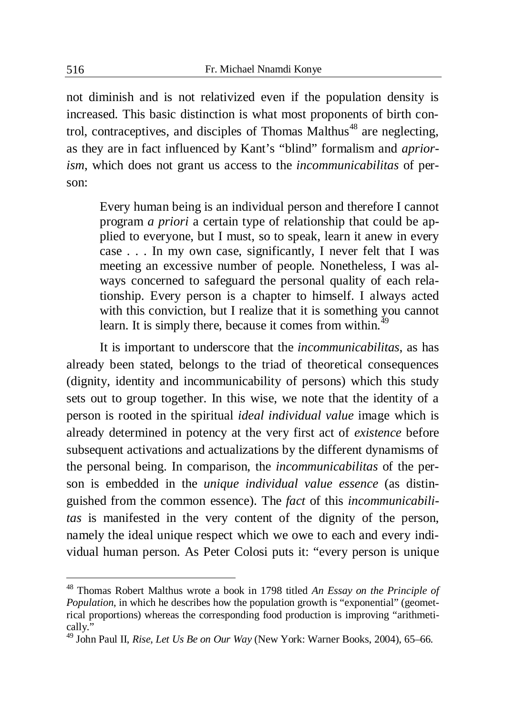not diminish and is not relativized even if the population density is increased. This basic distinction is what most proponents of birth control, contraceptives, and disciples of Thomas Malthus<sup>48</sup> are neglecting. as they are in fact influenced by Kant's "blind" formalism and *apriorism*, which does not grant us access to the *incommunicabilitas* of person:

Every human being is an individual person and therefore I cannot program *a priori* a certain type of relationship that could be applied to everyone, but I must, so to speak, learn it anew in every case . . . In my own case, significantly, I never felt that I was meeting an excessive number of people. Nonetheless, I was always concerned to safeguard the personal quality of each relationship. Every person is a chapter to himself. I always acted with this conviction, but I realize that it is something you cannot learn. It is simply there, because it comes from within.<sup>49</sup>

It is important to underscore that the *incommunicabilitas*, as has already been stated, belongs to the triad of theoretical consequences (dignity, identity and incommunicability of persons) which this study sets out to group together. In this wise, we note that the identity of a person is rooted in the spiritual *ideal individual value* image which is already determined in potency at the very first act of *existence* before subsequent activations and actualizations by the different dynamisms of the personal being. In comparison, the *incommunicabilitas* of the person is embedded in the *unique individual value essence* (as distinguished from the common essence). The *fact* of this *incommunicabilitas* is manifested in the very content of the dignity of the person, namely the ideal unique respect which we owe to each and every individual human person. As Peter Colosi puts it: "every person is unique

<sup>48</sup> Thomas Robert Malthus wrote a book in 1798 titled *An Essay on the Principle of Population*, in which he describes how the population growth is "exponential" (geometrical proportions) whereas the corresponding food production is improving "arithmetically."

<sup>49</sup> John Paul II, *Rise, Let Us Be on Our Way* (New York: Warner Books, 2004), 65–66.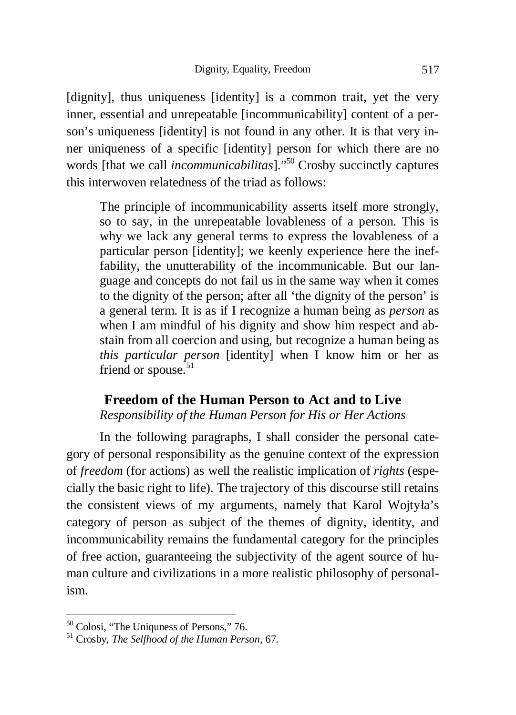[dignity], thus uniqueness [identity] is a common trait, yet the very inner, essential and unrepeatable [incommunicability] content of a person's uniqueness [identity] is not found in any other. It is that very inner uniqueness of a specific [identity] person for which there are no words [that we call *incommunicabilitas*]."<sup>50</sup> Crosby succinctly captures this interwoven relatedness of the triad as follows:

The principle of incommunicability asserts itself more strongly, so to say, in the unrepeatable lovableness of a person. This is why we lack any general terms to express the lovableness of a particular person [identity]; we keenly experience here the ineffability, the unutterability of the incommunicable. But our language and concepts do not fail us in the same way when it comes to the dignity of the person; after all 'the dignity of the person' is a general term. It is as if I recognize a human being as *person* as when I am mindful of his dignity and show him respect and abstain from all coercion and using, but recognize a human being as *this particular person* [identity] when I know him or her as friend or spouse. $51$ 

#### **Freedom of the Human Person to Act and to Live**  *Responsibility of the Human Person for His or Her Actions*

In the following paragraphs, I shall consider the personal category of personal responsibility as the genuine context of the expression of *freedom* (for actions) as well the realistic implication of *rights* (especially the basic right to life). The trajectory of this discourse still retains the consistent views of my arguments, namely that Karol Wojtyła's category of person as subject of the themes of dignity, identity, and incommunicability remains the fundamental category for the principles of free action, guaranteeing the subjectivity of the agent source of human culture and civilizations in a more realistic philosophy of personalism.

<sup>&</sup>lt;sup>50</sup> Colosi, "The Uniquness of Persons," 76.

<sup>51</sup> Crosby, *The Selfhood of the Human Person*, 67.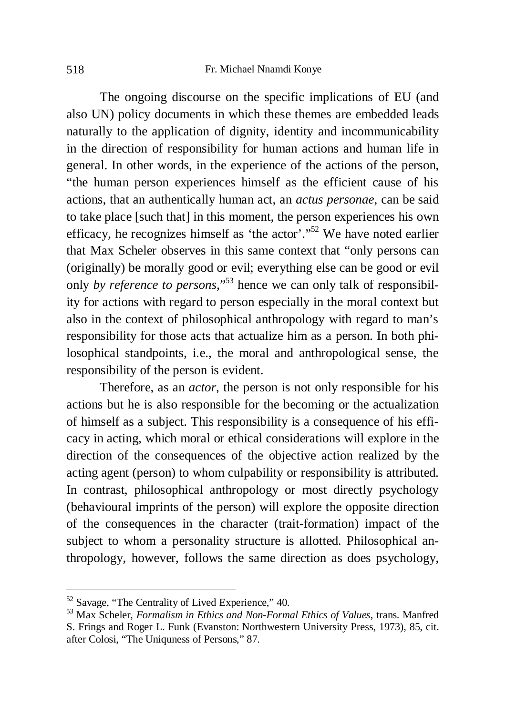The ongoing discourse on the specific implications of EU (and also UN) policy documents in which these themes are embedded leads naturally to the application of dignity, identity and incommunicability in the direction of responsibility for human actions and human life in general. In other words, in the experience of the actions of the person, "the human person experiences himself as the efficient cause of his actions, that an authentically human act, an *actus personae*, can be said to take place [such that] in this moment, the person experiences his own efficacy, he recognizes himself as 'the actor'."<sup>52</sup> We have noted earlier that Max Scheler observes in this same context that "only persons can (originally) be morally good or evil; everything else can be good or evil only *by reference to persons*,"<sup>53</sup> hence we can only talk of responsibility for actions with regard to person especially in the moral context but also in the context of philosophical anthropology with regard to man's responsibility for those acts that actualize him as a person. In both philosophical standpoints, i.e., the moral and anthropological sense, the responsibility of the person is evident.

Therefore, as an *actor*, the person is not only responsible for his actions but he is also responsible for the becoming or the actualization of himself as a subject. This responsibility is a consequence of his efficacy in acting, which moral or ethical considerations will explore in the direction of the consequences of the objective action realized by the acting agent (person) to whom culpability or responsibility is attributed. In contrast, philosophical anthropology or most directly psychology (behavioural imprints of the person) will explore the opposite direction of the consequences in the character (trait-formation) impact of the subject to whom a personality structure is allotted. Philosophical anthropology, however, follows the same direction as does psychology,

 $52$  Savage, "The Centrality of Lived Experience," 40.

<sup>53</sup> Max Scheler, *Formalism in Ethics and Non-Formal Ethics of Values*, trans. Manfred S. Frings and Roger L. Funk (Evanston: Northwestern University Press, 1973), 85, cit. after Colosi, "The Uniquness of Persons," 87.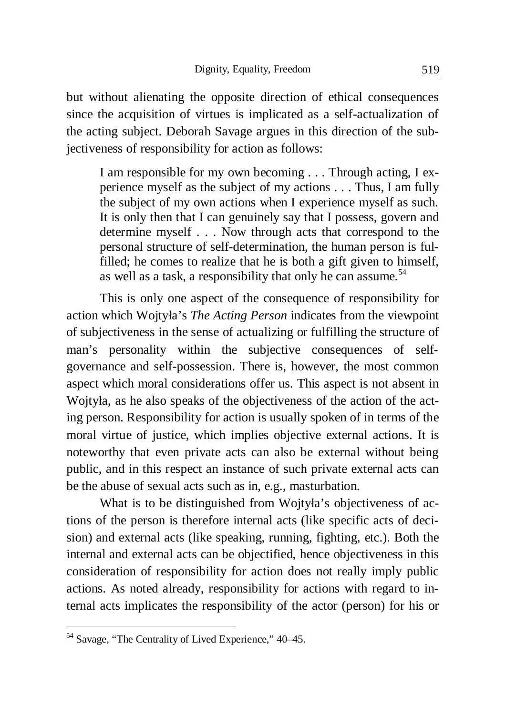but without alienating the opposite direction of ethical consequences since the acquisition of virtues is implicated as a self-actualization of the acting subject. Deborah Savage argues in this direction of the subjectiveness of responsibility for action as follows:

I am responsible for my own becoming . . . Through acting, I experience myself as the subject of my actions . . . Thus, I am fully the subject of my own actions when I experience myself as such. It is only then that I can genuinely say that I possess, govern and determine myself . . . Now through acts that correspond to the personal structure of self-determination, the human person is fulfilled; he comes to realize that he is both a gift given to himself, as well as a task, a responsibility that only he can assume.<sup>54</sup>

This is only one aspect of the consequence of responsibility for action which Wojtyáa's *The Acting Person* indicates from the viewpoint of subjectiveness in the sense of actualizing or fulfilling the structure of man's personality within the subjective consequences of selfgovernance and self-possession. There is, however, the most common aspect which moral considerations offer us. This aspect is not absent in Wojtyáa, as he also speaks of the objectiveness of the action of the acting person. Responsibility for action is usually spoken of in terms of the moral virtue of justice, which implies objective external actions. It is noteworthy that even private acts can also be external without being public, and in this respect an instance of such private external acts can be the abuse of sexual acts such as in, e.g., masturbation.

What is to be distinguished from Wojtyła's objectiveness of actions of the person is therefore internal acts (like specific acts of decision) and external acts (like speaking, running, fighting, etc.). Both the internal and external acts can be objectified, hence objectiveness in this consideration of responsibility for action does not really imply public actions. As noted already, responsibility for actions with regard to internal acts implicates the responsibility of the actor (person) for his or

<sup>54</sup> Savage, "The Centrality of Lived Experience," 40–45.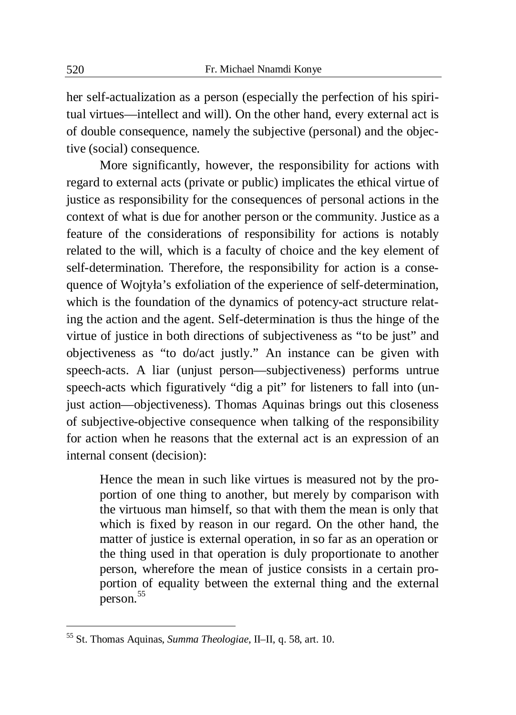her self-actualization as a person (especially the perfection of his spiritual virtues—intellect and will). On the other hand, every external act is of double consequence, namely the subjective (personal) and the objective (social) consequence.

More significantly, however, the responsibility for actions with regard to external acts (private or public) implicates the ethical virtue of justice as responsibility for the consequences of personal actions in the context of what is due for another person or the community. Justice as a feature of the considerations of responsibility for actions is notably related to the will, which is a faculty of choice and the key element of self-determination. Therefore, the responsibility for action is a consequence of Wojtyáa's exfoliation of the experience of self-determination, which is the foundation of the dynamics of potency-act structure relating the action and the agent. Self-determination is thus the hinge of the virtue of justice in both directions of subjectiveness as "to be just" and objectiveness as "to do/act justly." An instance can be given with speech-acts. A liar (unjust person—subjectiveness) performs untrue speech-acts which figuratively "dig a pit" for listeners to fall into (unjust action—objectiveness). Thomas Aquinas brings out this closeness of subjective-objective consequence when talking of the responsibility for action when he reasons that the external act is an expression of an internal consent (decision):

Hence the mean in such like virtues is measured not by the proportion of one thing to another, but merely by comparison with the virtuous man himself, so that with them the mean is only that which is fixed by reason in our regard. On the other hand, the matter of justice is external operation, in so far as an operation or the thing used in that operation is duly proportionate to another person, wherefore the mean of justice consists in a certain proportion of equality between the external thing and the external  $\arctan^{55}$ 

<sup>55</sup> St. Thomas Aquinas, *Summa Theologiae*, II–II, q. 58, art. 10.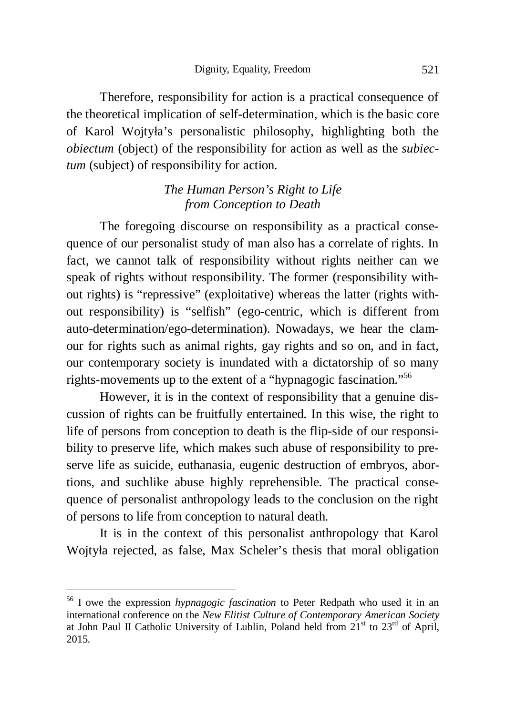Therefore, responsibility for action is a practical consequence of the theoretical implication of self-determination, which is the basic core of Karol Wojtyáa's personalistic philosophy, highlighting both the *obiectum* (object) of the responsibility for action as well as the *subiectum* (subject) of responsibility for action.

## *The Human Person's Right to Life from Conception to Death*

The foregoing discourse on responsibility as a practical consequence of our personalist study of man also has a correlate of rights. In fact, we cannot talk of responsibility without rights neither can we speak of rights without responsibility. The former (responsibility without rights) is "repressive" (exploitative) whereas the latter (rights without responsibility) is "selfish" (ego-centric, which is different from auto-determination/ego-determination). Nowadays, we hear the clamour for rights such as animal rights, gay rights and so on, and in fact, our contemporary society is inundated with a dictatorship of so many rights-movements up to the extent of a "hypnagogic fascination."<sup>56</sup>

However, it is in the context of responsibility that a genuine discussion of rights can be fruitfully entertained. In this wise, the right to life of persons from conception to death is the flip-side of our responsibility to preserve life, which makes such abuse of responsibility to preserve life as suicide, euthanasia, eugenic destruction of embryos, abortions, and suchlike abuse highly reprehensible. The practical consequence of personalist anthropology leads to the conclusion on the right of persons to life from conception to natural death.

It is in the context of this personalist anthropology that Karol Wojtyáa rejected, as false, Max Scheler's thesis that moral obligation

<sup>56</sup> I owe the expression *hypnagogic fascination* to Peter Redpath who used it in an international conference on the *New Elitist Culture of Contemporary American Society* at John Paul II Catholic University of Lublin, Poland held from  $21<sup>st</sup>$  to  $23<sup>rd</sup>$  of April, 2015.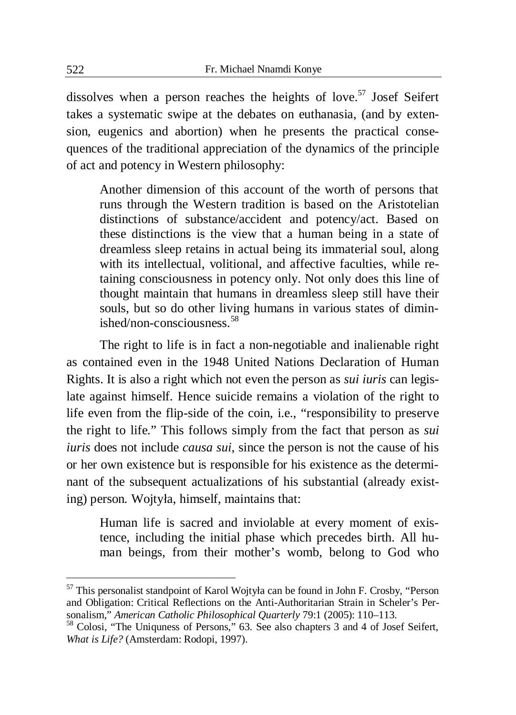dissolves when a person reaches the heights of love.<sup>57</sup> Josef Seifert takes a systematic swipe at the debates on euthanasia, (and by extension, eugenics and abortion) when he presents the practical consequences of the traditional appreciation of the dynamics of the principle of act and potency in Western philosophy:

Another dimension of this account of the worth of persons that runs through the Western tradition is based on the Aristotelian distinctions of substance/accident and potency/act. Based on these distinctions is the view that a human being in a state of dreamless sleep retains in actual being its immaterial soul, along with its intellectual, volitional, and affective faculties, while retaining consciousness in potency only. Not only does this line of thought maintain that humans in dreamless sleep still have their souls, but so do other living humans in various states of dimin $ished/non-consiciansness<sup>58</sup>$ 

The right to life is in fact a non-negotiable and inalienable right as contained even in the 1948 United Nations Declaration of Human Rights. It is also a right which not even the person as *sui iuris* can legislate against himself. Hence suicide remains a violation of the right to life even from the flip-side of the coin, i.e., "responsibility to preserve the right to life." This follows simply from the fact that person as *sui iuris* does not include *causa sui*, since the person is not the cause of his or her own existence but is responsible for his existence as the determinant of the subsequent actualizations of his substantial (already existing) person. Wojtyła, himself, maintains that:

Human life is sacred and inviolable at every moment of existence, including the initial phase which precedes birth. All human beings, from their mother's womb, belong to God who

<sup>57</sup> This personalist standpoint of Karol Wojtyáa can be found in John F. Crosby, "Person and Obligation: Critical Reflections on the Anti-Authoritarian Strain in Scheler's Personalism," *American Catholic Philosophical Quarterly* 79:1 (2005): 110–113.

<sup>58</sup> Colosi, "The Uniquness of Persons," 63. See also chapters 3 and 4 of Josef Seifert, *What is Life?* (Amsterdam: Rodopi, 1997).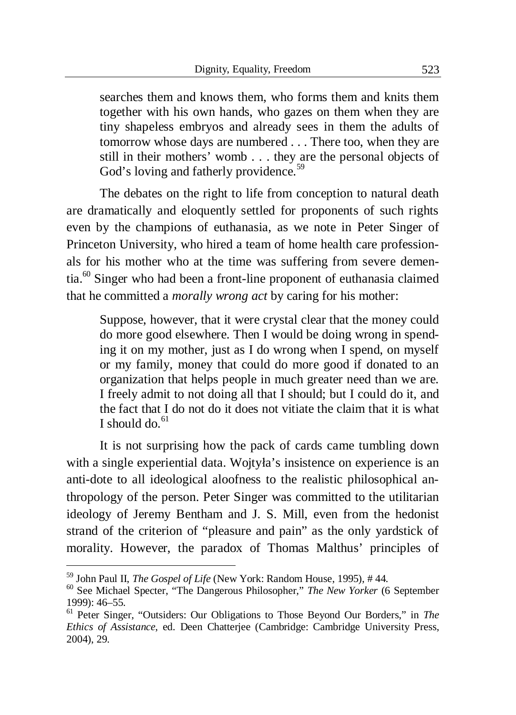searches them and knows them, who forms them and knits them together with his own hands, who gazes on them when they are tiny shapeless embryos and already sees in them the adults of tomorrow whose days are numbered . . . There too, when they are still in their mothers' womb . . . they are the personal objects of God's loving and fatherly providence.<sup>59</sup>

The debates on the right to life from conception to natural death are dramatically and eloquently settled for proponents of such rights even by the champions of euthanasia, as we note in Peter Singer of Princeton University, who hired a team of home health care professionals for his mother who at the time was suffering from severe dementia.<sup>60</sup> Singer who had been a front-line proponent of euthanasia claimed that he committed a *morally wrong act* by caring for his mother:

Suppose, however, that it were crystal clear that the money could do more good elsewhere. Then I would be doing wrong in spending it on my mother, just as I do wrong when I spend, on myself or my family, money that could do more good if donated to an organization that helps people in much greater need than we are. I freely admit to not doing all that I should; but I could do it, and the fact that I do not do it does not vitiate the claim that it is what I should do  $61$ 

It is not surprising how the pack of cards came tumbling down with a single experiential data. Wojtyła's insistence on experience is an anti-dote to all ideological aloofness to the realistic philosophical anthropology of the person. Peter Singer was committed to the utilitarian ideology of Jeremy Bentham and J. S. Mill, even from the hedonist strand of the criterion of "pleasure and pain" as the only yardstick of morality. However, the paradox of Thomas Malthus' principles of

<sup>59</sup> John Paul II, *The Gospel of Life* (New York: Random House, 1995), # 44.

<sup>60</sup> See Michael Specter, "The Dangerous Philosopher," *The New Yorker* (6 September 1999): 46–55.

<sup>61</sup> Peter Singer, "Outsiders: Our Obligations to Those Beyond Our Borders," in *The Ethics of Assistance*, ed. Deen Chatterjee (Cambridge: Cambridge University Press, 2004), 29.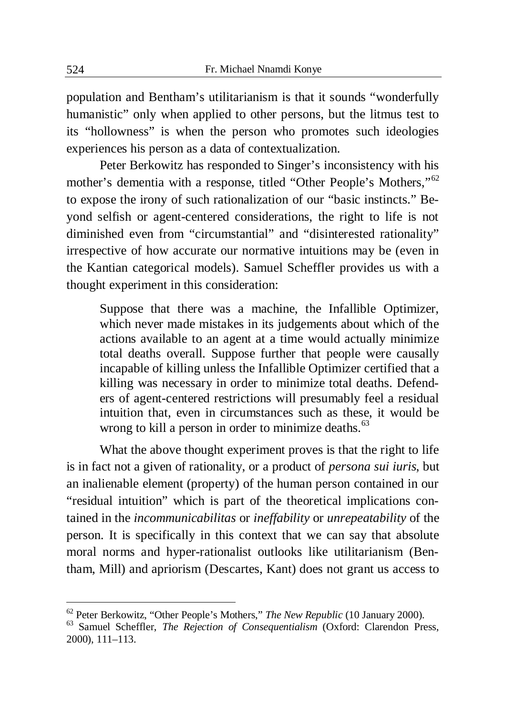population and Bentham's utilitarianism is that it sounds "wonderfully humanistic" only when applied to other persons, but the litmus test to its "hollowness" is when the person who promotes such ideologies experiences his person as a data of contextualization.

Peter Berkowitz has responded to Singer's inconsistency with his mother's dementia with a response, titled "Other People's Mothers,"<sup>62</sup> to expose the irony of such rationalization of our "basic instincts." Beyond selfish or agent-centered considerations, the right to life is not diminished even from "circumstantial" and "disinterested rationality" irrespective of how accurate our normative intuitions may be (even in the Kantian categorical models). Samuel Scheffler provides us with a thought experiment in this consideration:

Suppose that there was a machine, the Infallible Optimizer, which never made mistakes in its judgements about which of the actions available to an agent at a time would actually minimize total deaths overall. Suppose further that people were causally incapable of killing unless the Infallible Optimizer certified that a killing was necessary in order to minimize total deaths. Defenders of agent-centered restrictions will presumably feel a residual intuition that, even in circumstances such as these, it would be wrong to kill a person in order to minimize deaths.<sup>63</sup>

What the above thought experiment proves is that the right to life is in fact not a given of rationality, or a product of *persona sui iuris*, but an inalienable element (property) of the human person contained in our "residual intuition" which is part of the theoretical implications contained in the *incommunicabilitas* or *ineffability* or *unrepeatability* of the person. It is specifically in this context that we can say that absolute moral norms and hyper-rationalist outlooks like utilitarianism (Bentham, Mill) and apriorism (Descartes, Kant) does not grant us access to

<sup>62</sup> Peter Berkowitz, "Other People's Mothers," *The New Republic* (10 January 2000).

<sup>63</sup> Samuel Scheffler, *The Rejection of Consequentialism* (Oxford: Clarendon Press, 2000), 111–113.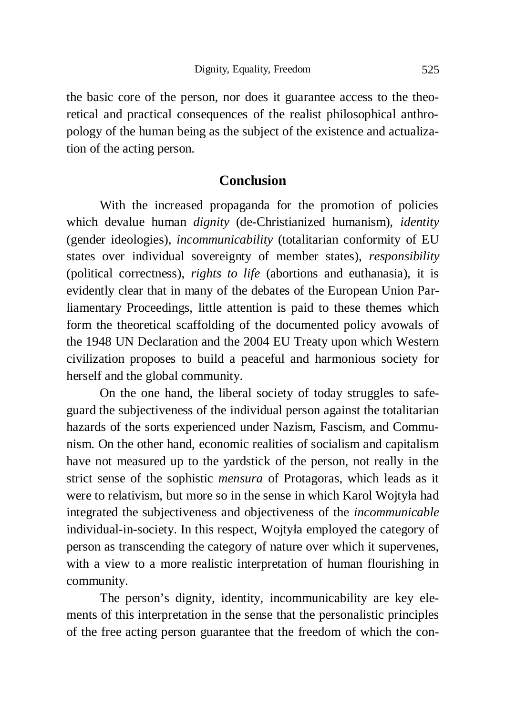the basic core of the person, nor does it guarantee access to the theoretical and practical consequences of the realist philosophical anthropology of the human being as the subject of the existence and actualization of the acting person.

#### **Conclusion**

With the increased propaganda for the promotion of policies which devalue human *dignity* (de-Christianized humanism), *identity* (gender ideologies), *incommunicability* (totalitarian conformity of EU states over individual sovereignty of member states), *responsibility*  (political correctness), *rights to life* (abortions and euthanasia), it is evidently clear that in many of the debates of the European Union Parliamentary Proceedings, little attention is paid to these themes which form the theoretical scaffolding of the documented policy avowals of the 1948 UN Declaration and the 2004 EU Treaty upon which Western civilization proposes to build a peaceful and harmonious society for herself and the global community.

On the one hand, the liberal society of today struggles to safeguard the subjectiveness of the individual person against the totalitarian hazards of the sorts experienced under Nazism, Fascism, and Communism. On the other hand, economic realities of socialism and capitalism have not measured up to the yardstick of the person, not really in the strict sense of the sophistic *mensura* of Protagoras, which leads as it were to relativism, but more so in the sense in which Karol Wojtyáa had integrated the subjectiveness and objectiveness of the *incommunicable* individual-in-society. In this respect, Wojtyáa employed the category of person as transcending the category of nature over which it supervenes, with a view to a more realistic interpretation of human flourishing in community.

The person's dignity, identity, incommunicability are key elements of this interpretation in the sense that the personalistic principles of the free acting person guarantee that the freedom of which the con-